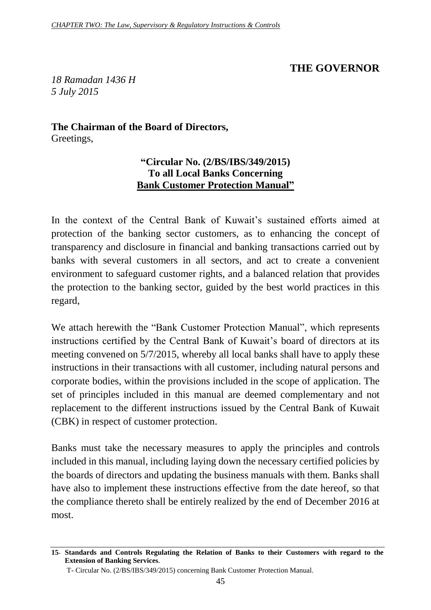## **THE GOVERNOR**

*18 Ramadan 1436 H 5 July 2015*

**The Chairman of the Board of Directors,** Greetings,

## **"Circular No. (2/BS/IBS/349/2015) To all Local Banks Concerning Bank Customer Protection Manual"**

In the context of the Central Bank of Kuwait's sustained efforts aimed at protection of the banking sector customers, as to enhancing the concept of transparency and disclosure in financial and banking transactions carried out by banks with several customers in all sectors, and act to create a convenient environment to safeguard customer rights, and a balanced relation that provides the protection to the banking sector, guided by the best world practices in this regard,

We attach herewith the "Bank Customer Protection Manual", which represents instructions certified by the Central Bank of Kuwait's board of directors at its meeting convened on 5/7/2015, whereby all local banks shall have to apply these instructions in their transactions with all customer, including natural persons and corporate bodies, within the provisions included in the scope of application. The set of principles included in this manual are deemed complementary and not replacement to the different instructions issued by the Central Bank of Kuwait (CBK) in respect of customer protection.

Banks must take the necessary measures to apply the principles and controls included in this manual, including laying down the necessary certified policies by the boards of directors and updating the business manuals with them. Banks shall have also to implement these instructions effective from the date hereof, so that the compliance thereto shall be entirely realized by the end of December 2016 at most.

**<sup>15</sup>- Standards and Controls Regulating the Relation of Banks to their Customers with regard to the Extension of Banking Services.**

T- Circular No. (2/BS/IBS/349/2015) concerning Bank Customer Protection Manual.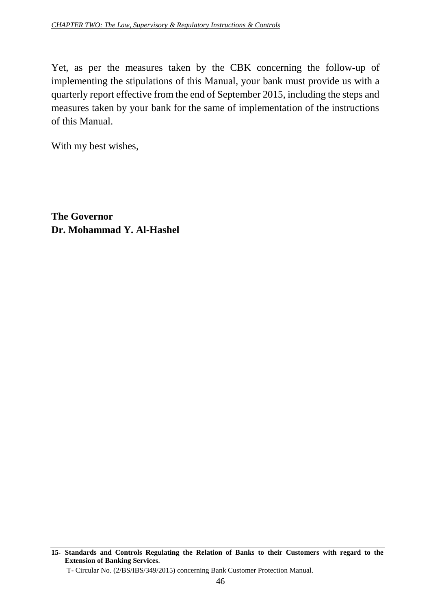Yet, as per the measures taken by the CBK concerning the follow-up of implementing the stipulations of this Manual, your bank must provide us with a quarterly report effective from the end of September 2015, including the steps and measures taken by your bank for the same of implementation of the instructions of this Manual.

With my best wishes,

**The Governor Dr. Mohammad Y. Al-Hashel**

**<sup>15</sup>- Standards and Controls Regulating the Relation of Banks to their Customers with regard to the Extension of Banking Services.**

T- Circular No. (2/BS/IBS/349/2015) concerning Bank Customer Protection Manual.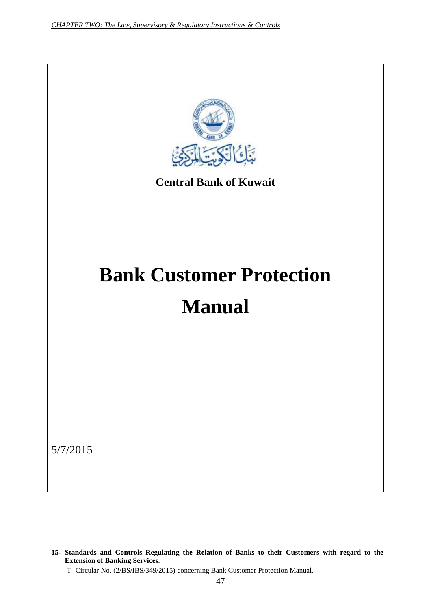

**<sup>15</sup>- Standards and Controls Regulating the Relation of Banks to their Customers with regard to the Extension of Banking Services.**

T- Circular No. (2/BS/IBS/349/2015) concerning Bank Customer Protection Manual.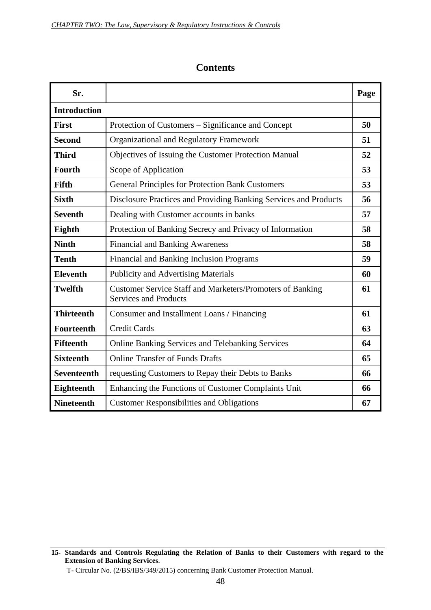| Sr.                 |                                                                                                  | Page |
|---------------------|--------------------------------------------------------------------------------------------------|------|
| <b>Introduction</b> |                                                                                                  |      |
| <b>First</b>        | Protection of Customers – Significance and Concept                                               | 50   |
| <b>Second</b>       | Organizational and Regulatory Framework                                                          | 51   |
| <b>Third</b>        | Objectives of Issuing the Customer Protection Manual                                             | 52   |
| <b>Fourth</b>       | Scope of Application                                                                             | 53   |
| <b>Fifth</b>        | <b>General Principles for Protection Bank Customers</b>                                          | 53   |
| <b>Sixth</b>        | Disclosure Practices and Providing Banking Services and Products                                 | 56   |
| <b>Seventh</b>      | Dealing with Customer accounts in banks                                                          | 57   |
| Eighth              | Protection of Banking Secrecy and Privacy of Information                                         | 58   |
| <b>Ninth</b>        | <b>Financial and Banking Awareness</b>                                                           | 58   |
| <b>Tenth</b>        | Financial and Banking Inclusion Programs                                                         | 59   |
| <b>Eleventh</b>     | <b>Publicity and Advertising Materials</b>                                                       | 60   |
| <b>Twelfth</b>      | <b>Customer Service Staff and Marketers/Promoters of Banking</b><br><b>Services and Products</b> | 61   |
| <b>Thirteenth</b>   | Consumer and Installment Loans / Financing                                                       | 61   |
| <b>Fourteenth</b>   | <b>Credit Cards</b>                                                                              | 63   |
| <b>Fifteenth</b>    | Online Banking Services and Telebanking Services                                                 | 64   |
| <b>Sixteenth</b>    | <b>Online Transfer of Funds Drafts</b>                                                           | 65   |
| <b>Seventeenth</b>  | requesting Customers to Repay their Debts to Banks                                               | 66   |
| Eighteenth          | Enhancing the Functions of Customer Complaints Unit                                              | 66   |
| <b>Nineteenth</b>   | <b>Customer Responsibilities and Obligations</b>                                                 | 67   |

#### **Contents**

**<sup>15</sup>- Standards and Controls Regulating the Relation of Banks to their Customers with regard to the Extension of Banking Services.**

T- Circular No. (2/BS/IBS/349/2015) concerning Bank Customer Protection Manual.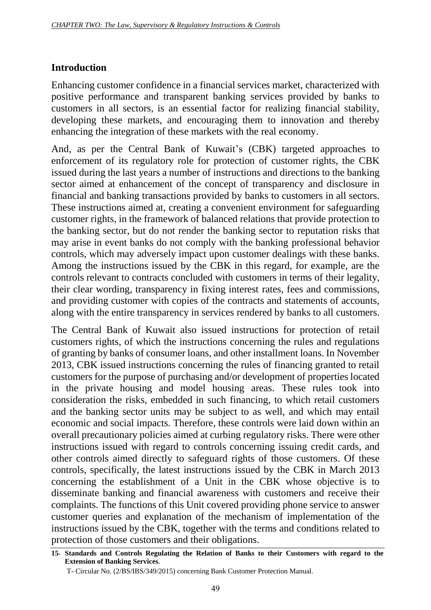## **Introduction**

Enhancing customer confidence in a financial services market, characterized with positive performance and transparent banking services provided by banks to customers in all sectors, is an essential factor for realizing financial stability, developing these markets, and encouraging them to innovation and thereby enhancing the integration of these markets with the real economy.

And, as per the Central Bank of Kuwait's (CBK) targeted approaches to enforcement of its regulatory role for protection of customer rights, the CBK issued during the last years a number of instructions and directions to the banking sector aimed at enhancement of the concept of transparency and disclosure in financial and banking transactions provided by banks to customers in all sectors. These instructions aimed at, creating a convenient environment for safeguarding customer rights, in the framework of balanced relations that provide protection to the banking sector, but do not render the banking sector to reputation risks that may arise in event banks do not comply with the banking professional behavior controls, which may adversely impact upon customer dealings with these banks. Among the instructions issued by the CBK in this regard, for example, are the controls relevant to contracts concluded with customers in terms of their legality, their clear wording, transparency in fixing interest rates, fees and commissions, and providing customer with copies of the contracts and statements of accounts, along with the entire transparency in services rendered by banks to all customers.

The Central Bank of Kuwait also issued instructions for protection of retail customers rights, of which the instructions concerning the rules and regulations of granting by banks of consumer loans, and other installment loans. In November 2013, CBK issued instructions concerning the rules of financing granted to retail customers for the purpose of purchasing and/or development of properties located in the private housing and model housing areas. These rules took into consideration the risks, embedded in such financing, to which retail customers and the banking sector units may be subject to as well, and which may entail economic and social impacts. Therefore, these controls were laid down within an overall precautionary policies aimed at curbing regulatory risks. There were other instructions issued with regard to controls concerning issuing credit cards, and other controls aimed directly to safeguard rights of those customers. Of these controls, specifically, the latest instructions issued by the CBK in March 2013 concerning the establishment of a Unit in the CBK whose objective is to disseminate banking and financial awareness with customers and receive their complaints. The functions of this Unit covered providing phone service to answer customer queries and explanation of the mechanism of implementation of the instructions issued by the CBK, together with the terms and conditions related to protection of those customers and their obligations.

**<sup>15</sup>- Standards and Controls Regulating the Relation of Banks to their Customers with regard to the Extension of Banking Services.**

T- Circular No. (2/BS/IBS/349/2015) concerning Bank Customer Protection Manual.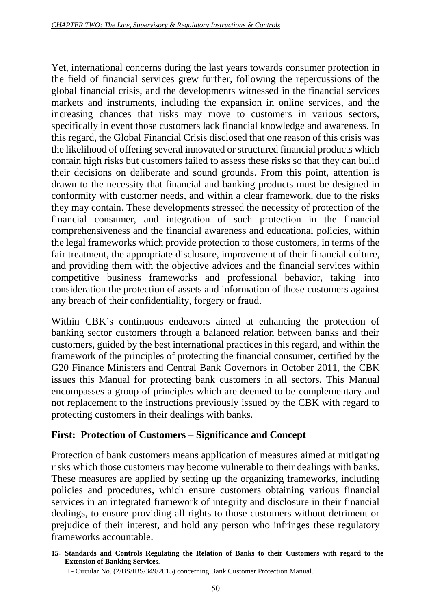Yet, international concerns during the last years towards consumer protection in the field of financial services grew further, following the repercussions of the global financial crisis, and the developments witnessed in the financial services markets and instruments, including the expansion in online services, and the increasing chances that risks may move to customers in various sectors, specifically in event those customers lack financial knowledge and awareness. In this regard, the Global Financial Crisis disclosed that one reason of this crisis was the likelihood of offering several innovated or structured financial products which contain high risks but customers failed to assess these risks so that they can build their decisions on deliberate and sound grounds. From this point, attention is drawn to the necessity that financial and banking products must be designed in conformity with customer needs, and within a clear framework, due to the risks they may contain. These developments stressed the necessity of protection of the financial consumer, and integration of such protection in the financial comprehensiveness and the financial awareness and educational policies, within the legal frameworks which provide protection to those customers, in terms of the fair treatment, the appropriate disclosure, improvement of their financial culture, and providing them with the objective advices and the financial services within competitive business frameworks and professional behavior, taking into consideration the protection of assets and information of those customers against any breach of their confidentiality, forgery or fraud.

Within CBK's continuous endeavors aimed at enhancing the protection of banking sector customers through a balanced relation between banks and their customers, guided by the best international practices in this regard, and within the framework of the principles of protecting the financial consumer, certified by the G20 Finance Ministers and Central Bank Governors in October 2011, the CBK issues this Manual for protecting bank customers in all sectors. This Manual encompasses a group of principles which are deemed to be complementary and not replacement to the instructions previously issued by the CBK with regard to protecting customers in their dealings with banks.

# **First: Protection of Customers – Significance and Concept**

Protection of bank customers means application of measures aimed at mitigating risks which those customers may become vulnerable to their dealings with banks. These measures are applied by setting up the organizing frameworks, including policies and procedures, which ensure customers obtaining various financial services in an integrated framework of integrity and disclosure in their financial dealings, to ensure providing all rights to those customers without detriment or prejudice of their interest, and hold any person who infringes these regulatory frameworks accountable.

**<sup>15</sup>- Standards and Controls Regulating the Relation of Banks to their Customers with regard to the Extension of Banking Services.**

T- Circular No. (2/BS/IBS/349/2015) concerning Bank Customer Protection Manual.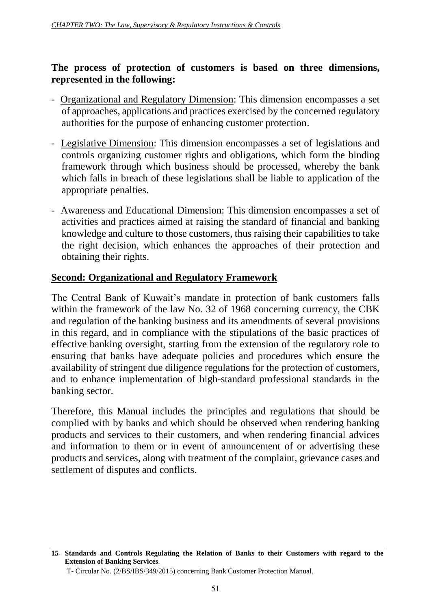#### **The process of protection of customers is based on three dimensions, represented in the following:**

- Organizational and Regulatory Dimension: This dimension encompasses a set of approaches, applications and practices exercised by the concerned regulatory authorities for the purpose of enhancing customer protection.
- Legislative Dimension: This dimension encompasses a set of legislations and controls organizing customer rights and obligations, which form the binding framework through which business should be processed, whereby the bank which falls in breach of these legislations shall be liable to application of the appropriate penalties.
- Awareness and Educational Dimension: This dimension encompasses a set of activities and practices aimed at raising the standard of financial and banking knowledge and culture to those customers, thus raising their capabilities to take the right decision, which enhances the approaches of their protection and obtaining their rights.

### **Second: Organizational and Regulatory Framework**

The Central Bank of Kuwait's mandate in protection of bank customers falls within the framework of the law No. 32 of 1968 concerning currency, the CBK and regulation of the banking business and its amendments of several provisions in this regard, and in compliance with the stipulations of the basic practices of effective banking oversight, starting from the extension of the regulatory role to ensuring that banks have adequate policies and procedures which ensure the availability of stringent due diligence regulations for the protection of customers, and to enhance implementation of high-standard professional standards in the banking sector.

Therefore, this Manual includes the principles and regulations that should be complied with by banks and which should be observed when rendering banking products and services to their customers, and when rendering financial advices and information to them or in event of announcement of or advertising these products and services, along with treatment of the complaint, grievance cases and settlement of disputes and conflicts.

**<sup>15</sup>- Standards and Controls Regulating the Relation of Banks to their Customers with regard to the Extension of Banking Services.**

T- Circular No. (2/BS/IBS/349/2015) concerning Bank Customer Protection Manual.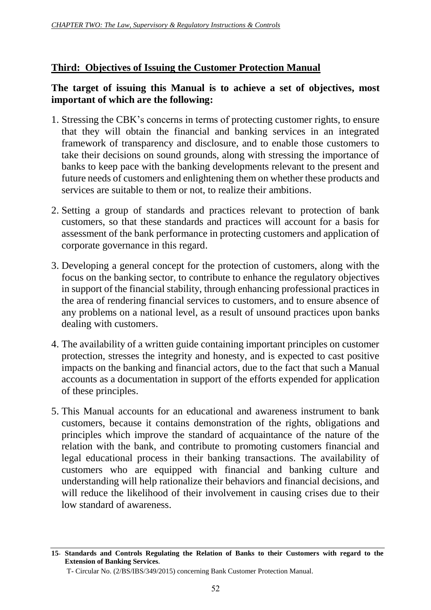## **Third: Objectives of Issuing the Customer Protection Manual**

### **The target of issuing this Manual is to achieve a set of objectives, most important of which are the following:**

- 1. Stressing the CBK's concerns in terms of protecting customer rights, to ensure that they will obtain the financial and banking services in an integrated framework of transparency and disclosure, and to enable those customers to take their decisions on sound grounds, along with stressing the importance of banks to keep pace with the banking developments relevant to the present and future needs of customers and enlightening them on whether these products and services are suitable to them or not, to realize their ambitions.
- 2. Setting a group of standards and practices relevant to protection of bank customers, so that these standards and practices will account for a basis for assessment of the bank performance in protecting customers and application of corporate governance in this regard.
- 3. Developing a general concept for the protection of customers, along with the focus on the banking sector, to contribute to enhance the regulatory objectives in support of the financial stability, through enhancing professional practices in the area of rendering financial services to customers, and to ensure absence of any problems on a national level, as a result of unsound practices upon banks dealing with customers.
- 4. The availability of a written guide containing important principles on customer protection, stresses the integrity and honesty, and is expected to cast positive impacts on the banking and financial actors, due to the fact that such a Manual accounts as a documentation in support of the efforts expended for application of these principles.
- 5. This Manual accounts for an educational and awareness instrument to bank customers, because it contains demonstration of the rights, obligations and principles which improve the standard of acquaintance of the nature of the relation with the bank, and contribute to promoting customers financial and legal educational process in their banking transactions. The availability of customers who are equipped with financial and banking culture and understanding will help rationalize their behaviors and financial decisions, and will reduce the likelihood of their involvement in causing crises due to their low standard of awareness.

**<sup>15</sup>- Standards and Controls Regulating the Relation of Banks to their Customers with regard to the Extension of Banking Services.**

T- Circular No. (2/BS/IBS/349/2015) concerning Bank Customer Protection Manual.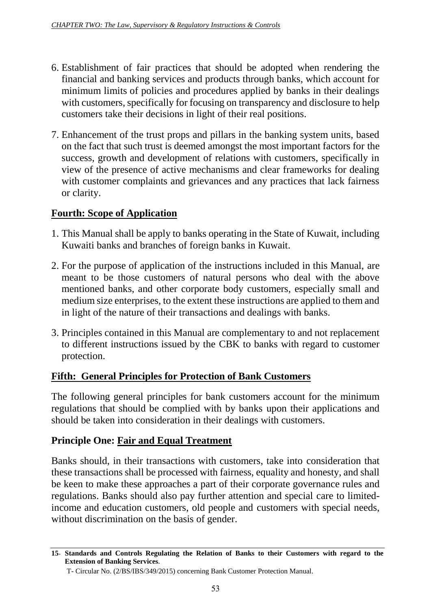- 6. Establishment of fair practices that should be adopted when rendering the financial and banking services and products through banks, which account for minimum limits of policies and procedures applied by banks in their dealings with customers, specifically for focusing on transparency and disclosure to help customers take their decisions in light of their real positions.
- 7. Enhancement of the trust props and pillars in the banking system units, based on the fact that such trust is deemed amongst the most important factors for the success, growth and development of relations with customers, specifically in view of the presence of active mechanisms and clear frameworks for dealing with customer complaints and grievances and any practices that lack fairness or clarity.

# **Fourth: Scope of Application**

- 1. This Manual shall be apply to banks operating in the State of Kuwait, including Kuwaiti banks and branches of foreign banks in Kuwait.
- 2. For the purpose of application of the instructions included in this Manual, are meant to be those customers of natural persons who deal with the above mentioned banks, and other corporate body customers, especially small and medium size enterprises, to the extent these instructions are applied to them and in light of the nature of their transactions and dealings with banks.
- 3. Principles contained in this Manual are complementary to and not replacement to different instructions issued by the CBK to banks with regard to customer protection.

# **Fifth: General Principles for Protection of Bank Customers**

The following general principles for bank customers account for the minimum regulations that should be complied with by banks upon their applications and should be taken into consideration in their dealings with customers.

## **Principle One: Fair and Equal Treatment**

Banks should, in their transactions with customers, take into consideration that these transactions shall be processed with fairness, equality and honesty, and shall be keen to make these approaches a part of their corporate governance rules and regulations. Banks should also pay further attention and special care to limitedincome and education customers, old people and customers with special needs, without discrimination on the basis of gender.

**<sup>15</sup>- Standards and Controls Regulating the Relation of Banks to their Customers with regard to the Extension of Banking Services.**

T- Circular No. (2/BS/IBS/349/2015) concerning Bank Customer Protection Manual.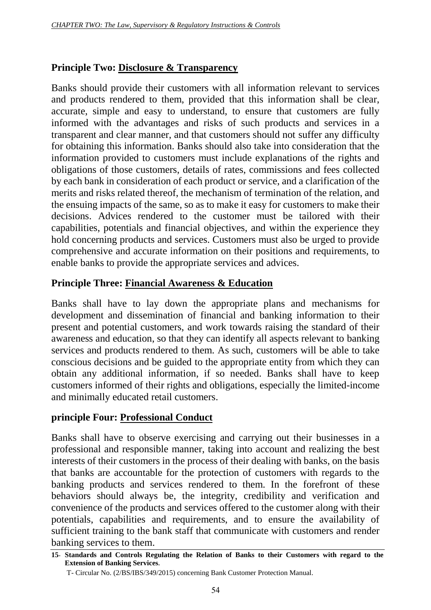## **Principle Two: Disclosure & Transparency**

Banks should provide their customers with all information relevant to services and products rendered to them, provided that this information shall be clear, accurate, simple and easy to understand, to ensure that customers are fully informed with the advantages and risks of such products and services in a transparent and clear manner, and that customers should not suffer any difficulty for obtaining this information. Banks should also take into consideration that the information provided to customers must include explanations of the rights and obligations of those customers, details of rates, commissions and fees collected by each bank in consideration of each product or service, and a clarification of the merits and risks related thereof, the mechanism of termination of the relation, and the ensuing impacts of the same, so as to make it easy for customers to make their decisions. Advices rendered to the customer must be tailored with their capabilities, potentials and financial objectives, and within the experience they hold concerning products and services. Customers must also be urged to provide comprehensive and accurate information on their positions and requirements, to enable banks to provide the appropriate services and advices.

### **Principle Three: Financial Awareness & Education**

Banks shall have to lay down the appropriate plans and mechanisms for development and dissemination of financial and banking information to their present and potential customers, and work towards raising the standard of their awareness and education, so that they can identify all aspects relevant to banking services and products rendered to them. As such, customers will be able to take conscious decisions and be guided to the appropriate entity from which they can obtain any additional information, if so needed. Banks shall have to keep customers informed of their rights and obligations, especially the limited-income and minimally educated retail customers.

#### **principle Four: Professional Conduct**

Banks shall have to observe exercising and carrying out their businesses in a professional and responsible manner, taking into account and realizing the best interests of their customers in the process of their dealing with banks, on the basis that banks are accountable for the protection of customers with regards to the banking products and services rendered to them. In the forefront of these behaviors should always be, the integrity, credibility and verification and convenience of the products and services offered to the customer along with their potentials, capabilities and requirements, and to ensure the availability of sufficient training to the bank staff that communicate with customers and render banking services to them.

**<sup>15</sup>- Standards and Controls Regulating the Relation of Banks to their Customers with regard to the Extension of Banking Services.**

T- Circular No. (2/BS/IBS/349/2015) concerning Bank Customer Protection Manual.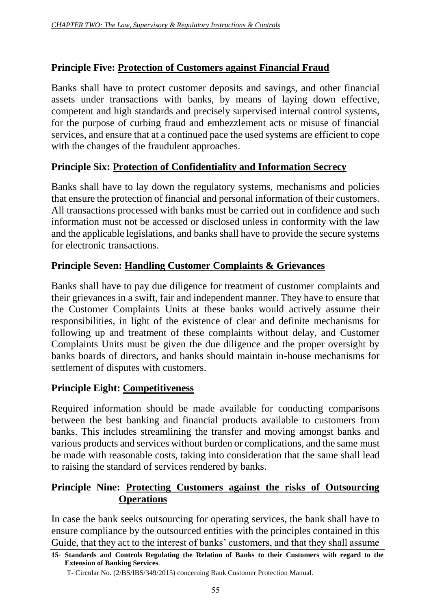## **Principle Five: Protection of Customers against Financial Fraud**

Banks shall have to protect customer deposits and savings, and other financial assets under transactions with banks, by means of laying down effective, competent and high standards and precisely supervised internal control systems, for the purpose of curbing fraud and embezzlement acts or misuse of financial services, and ensure that at a continued pace the used systems are efficient to cope with the changes of the fraudulent approaches.

## **Principle Six: Protection of Confidentiality and Information Secrecy**

Banks shall have to lay down the regulatory systems, mechanisms and policies that ensure the protection of financial and personal information of their customers. All transactions processed with banks must be carried out in confidence and such information must not be accessed or disclosed unless in conformity with the law and the applicable legislations, and banks shall have to provide the secure systems for electronic transactions.

## **Principle Seven: Handling Customer Complaints & Grievances**

Banks shall have to pay due diligence for treatment of customer complaints and their grievances in a swift, fair and independent manner. They have to ensure that the Customer Complaints Units at these banks would actively assume their responsibilities, in light of the existence of clear and definite mechanisms for following up and treatment of these complaints without delay, and Customer Complaints Units must be given the due diligence and the proper oversight by banks boards of directors, and banks should maintain in-house mechanisms for settlement of disputes with customers.

## **Principle Eight: Competitiveness**

Required information should be made available for conducting comparisons between the best banking and financial products available to customers from banks. This includes streamlining the transfer and moving amongst banks and various products and services without burden or complications, and the same must be made with reasonable costs, taking into consideration that the same shall lead to raising the standard of services rendered by banks.

## **Principle Nine: Protecting Customers against the risks of Outsourcing Operations**

In case the bank seeks outsourcing for operating services, the bank shall have to ensure compliance by the outsourced entities with the principles contained in this Guide, that they act to the interest of banks' customers, and that they shall assume

**<sup>15</sup>- Standards and Controls Regulating the Relation of Banks to their Customers with regard to the Extension of Banking Services.**

T- Circular No. (2/BS/IBS/349/2015) concerning Bank Customer Protection Manual.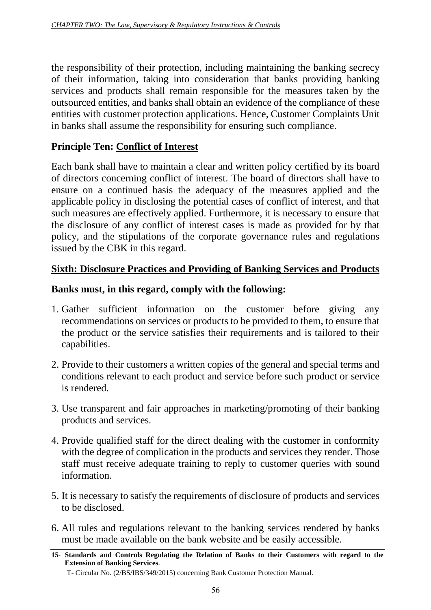the responsibility of their protection, including maintaining the banking secrecy of their information, taking into consideration that banks providing banking services and products shall remain responsible for the measures taken by the outsourced entities, and banks shall obtain an evidence of the compliance of these entities with customer protection applications. Hence, Customer Complaints Unit in banks shall assume the responsibility for ensuring such compliance.

## **Principle Ten: Conflict of Interest**

Each bank shall have to maintain a clear and written policy certified by its board of directors concerning conflict of interest. The board of directors shall have to ensure on a continued basis the adequacy of the measures applied and the applicable policy in disclosing the potential cases of conflict of interest, and that such measures are effectively applied. Furthermore, it is necessary to ensure that the disclosure of any conflict of interest cases is made as provided for by that policy, and the stipulations of the corporate governance rules and regulations issued by the CBK in this regard.

## **Sixth: Disclosure Practices and Providing of Banking Services and Products**

### **Banks must, in this regard, comply with the following:**

- 1. Gather sufficient information on the customer before giving any recommendations on services or products to be provided to them, to ensure that the product or the service satisfies their requirements and is tailored to their capabilities.
- 2. Provide to their customers a written copies of the general and special terms and conditions relevant to each product and service before such product or service is rendered.
- 3. Use transparent and fair approaches in marketing/promoting of their banking products and services.
- 4. Provide qualified staff for the direct dealing with the customer in conformity with the degree of complication in the products and services they render. Those staff must receive adequate training to reply to customer queries with sound information.
- 5. It is necessary to satisfy the requirements of disclosure of products and services to be disclosed.
- 6. All rules and regulations relevant to the banking services rendered by banks must be made available on the bank website and be easily accessible.

**<sup>15</sup>- Standards and Controls Regulating the Relation of Banks to their Customers with regard to the Extension of Banking Services.**

T- Circular No. (2/BS/IBS/349/2015) concerning Bank Customer Protection Manual.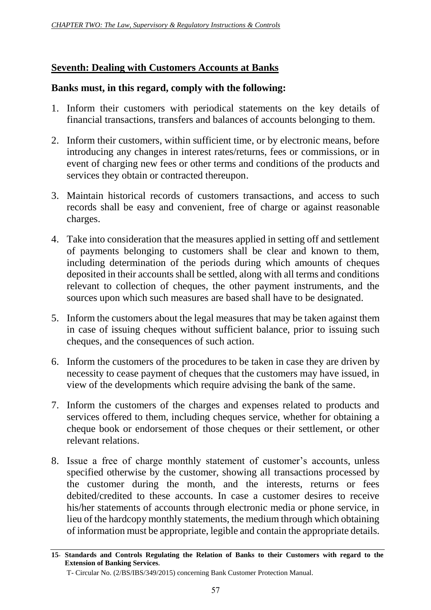## **Seventh: Dealing with Customers Accounts at Banks**

## **Banks must, in this regard, comply with the following:**

- 1. Inform their customers with periodical statements on the key details of financial transactions, transfers and balances of accounts belonging to them.
- 2. Inform their customers, within sufficient time, or by electronic means, before introducing any changes in interest rates/returns, fees or commissions, or in event of charging new fees or other terms and conditions of the products and services they obtain or contracted thereupon.
- 3. Maintain historical records of customers transactions, and access to such records shall be easy and convenient, free of charge or against reasonable charges.
- 4. Take into consideration that the measures applied in setting off and settlement of payments belonging to customers shall be clear and known to them, including determination of the periods during which amounts of cheques deposited in their accounts shall be settled, along with all terms and conditions relevant to collection of cheques, the other payment instruments, and the sources upon which such measures are based shall have to be designated.
- 5. Inform the customers about the legal measures that may be taken against them in case of issuing cheques without sufficient balance, prior to issuing such cheques, and the consequences of such action.
- 6. Inform the customers of the procedures to be taken in case they are driven by necessity to cease payment of cheques that the customers may have issued, in view of the developments which require advising the bank of the same.
- 7. Inform the customers of the charges and expenses related to products and services offered to them, including cheques service, whether for obtaining a cheque book or endorsement of those cheques or their settlement, or other relevant relations.
- 8. Issue a free of charge monthly statement of customer's accounts, unless specified otherwise by the customer, showing all transactions processed by the customer during the month, and the interests, returns or fees debited/credited to these accounts. In case a customer desires to receive his/her statements of accounts through electronic media or phone service, in lieu of the hardcopy monthly statements, the medium through which obtaining of information must be appropriate, legible and contain the appropriate details.

**<sup>15</sup>- Standards and Controls Regulating the Relation of Banks to their Customers with regard to the Extension of Banking Services.**

T- Circular No. (2/BS/IBS/349/2015) concerning Bank Customer Protection Manual.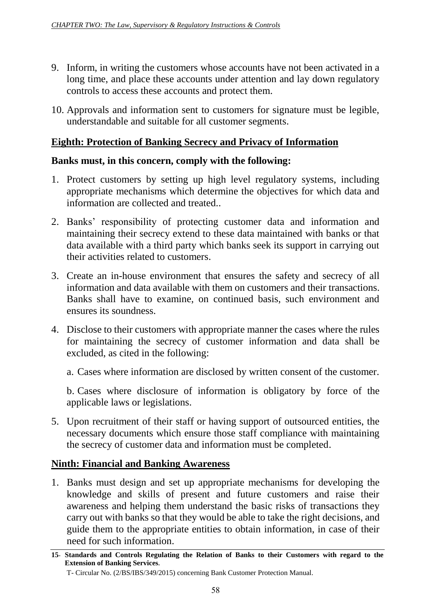- 9. Inform, in writing the customers whose accounts have not been activated in a long time, and place these accounts under attention and lay down regulatory controls to access these accounts and protect them.
- 10. Approvals and information sent to customers for signature must be legible, understandable and suitable for all customer segments.

## **Eighth: Protection of Banking Secrecy and Privacy of Information**

#### **Banks must, in this concern, comply with the following:**

- 1. Protect customers by setting up high level regulatory systems, including appropriate mechanisms which determine the objectives for which data and information are collected and treated..
- 2. Banks' responsibility of protecting customer data and information and maintaining their secrecy extend to these data maintained with banks or that data available with a third party which banks seek its support in carrying out their activities related to customers.
- 3. Create an in-house environment that ensures the safety and secrecy of all information and data available with them on customers and their transactions. Banks shall have to examine, on continued basis, such environment and ensures its soundness.
- 4. Disclose to their customers with appropriate manner the cases where the rules for maintaining the secrecy of customer information and data shall be excluded, as cited in the following:

a. Cases where information are disclosed by written consent of the customer.

b. Cases where disclosure of information is obligatory by force of the applicable laws or legislations.

5. Upon recruitment of their staff or having support of outsourced entities, the necessary documents which ensure those staff compliance with maintaining the secrecy of customer data and information must be completed.

## **Ninth: Financial and Banking Awareness**

1. Banks must design and set up appropriate mechanisms for developing the knowledge and skills of present and future customers and raise their awareness and helping them understand the basic risks of transactions they carry out with banks so that they would be able to take the right decisions, and guide them to the appropriate entities to obtain information, in case of their need for such information.

**<sup>15</sup>- Standards and Controls Regulating the Relation of Banks to their Customers with regard to the Extension of Banking Services.**

T- Circular No. (2/BS/IBS/349/2015) concerning Bank Customer Protection Manual.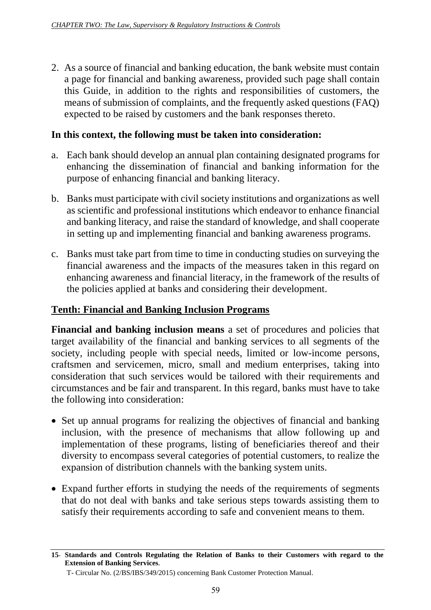2. As a source of financial and banking education, the bank website must contain a page for financial and banking awareness, provided such page shall contain this Guide, in addition to the rights and responsibilities of customers, the means of submission of complaints, and the frequently asked questions (FAQ) expected to be raised by customers and the bank responses thereto.

### **In this context, the following must be taken into consideration:**

- a. Each bank should develop an annual plan containing designated programs for enhancing the dissemination of financial and banking information for the purpose of enhancing financial and banking literacy.
- b. Banks must participate with civil society institutions and organizations as well as scientific and professional institutions which endeavor to enhance financial and banking literacy, and raise the standard of knowledge, and shall cooperate in setting up and implementing financial and banking awareness programs.
- c. Banks must take part from time to time in conducting studies on surveying the financial awareness and the impacts of the measures taken in this regard on enhancing awareness and financial literacy, in the framework of the results of the policies applied at banks and considering their development.

## **Tenth: Financial and Banking Inclusion Programs**

**Financial and banking inclusion means** a set of procedures and policies that target availability of the financial and banking services to all segments of the society, including people with special needs, limited or low-income persons, craftsmen and servicemen, micro, small and medium enterprises, taking into consideration that such services would be tailored with their requirements and circumstances and be fair and transparent. In this regard, banks must have to take the following into consideration:

- Set up annual programs for realizing the objectives of financial and banking inclusion, with the presence of mechanisms that allow following up and implementation of these programs, listing of beneficiaries thereof and their diversity to encompass several categories of potential customers, to realize the expansion of distribution channels with the banking system units.
- Expand further efforts in studying the needs of the requirements of segments that do not deal with banks and take serious steps towards assisting them to satisfy their requirements according to safe and convenient means to them.

**<sup>15</sup>- Standards and Controls Regulating the Relation of Banks to their Customers with regard to the Extension of Banking Services.**

T- Circular No. (2/BS/IBS/349/2015) concerning Bank Customer Protection Manual.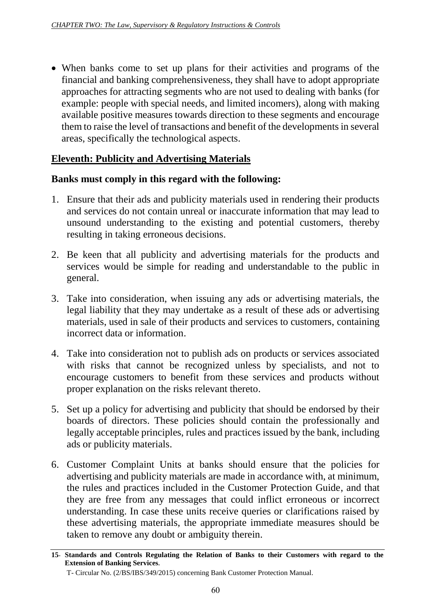When banks come to set up plans for their activities and programs of the financial and banking comprehensiveness, they shall have to adopt appropriate approaches for attracting segments who are not used to dealing with banks (for example: people with special needs, and limited incomers), along with making available positive measures towards direction to these segments and encourage them to raise the level of transactions and benefit of the developments in several areas, specifically the technological aspects.

## **Eleventh: Publicity and Advertising Materials**

### **Banks must comply in this regard with the following:**

- 1. Ensure that their ads and publicity materials used in rendering their products and services do not contain unreal or inaccurate information that may lead to unsound understanding to the existing and potential customers, thereby resulting in taking erroneous decisions.
- 2. Be keen that all publicity and advertising materials for the products and services would be simple for reading and understandable to the public in general.
- 3. Take into consideration, when issuing any ads or advertising materials, the legal liability that they may undertake as a result of these ads or advertising materials, used in sale of their products and services to customers, containing incorrect data or information.
- 4. Take into consideration not to publish ads on products or services associated with risks that cannot be recognized unless by specialists, and not to encourage customers to benefit from these services and products without proper explanation on the risks relevant thereto.
- 5. Set up a policy for advertising and publicity that should be endorsed by their boards of directors. These policies should contain the professionally and legally acceptable principles, rules and practices issued by the bank, including ads or publicity materials.
- 6. Customer Complaint Units at banks should ensure that the policies for advertising and publicity materials are made in accordance with, at minimum, the rules and practices included in the Customer Protection Guide, and that they are free from any messages that could inflict erroneous or incorrect understanding. In case these units receive queries or clarifications raised by these advertising materials, the appropriate immediate measures should be taken to remove any doubt or ambiguity therein.

**<sup>15</sup>- Standards and Controls Regulating the Relation of Banks to their Customers with regard to the Extension of Banking Services.**

T- Circular No. (2/BS/IBS/349/2015) concerning Bank Customer Protection Manual.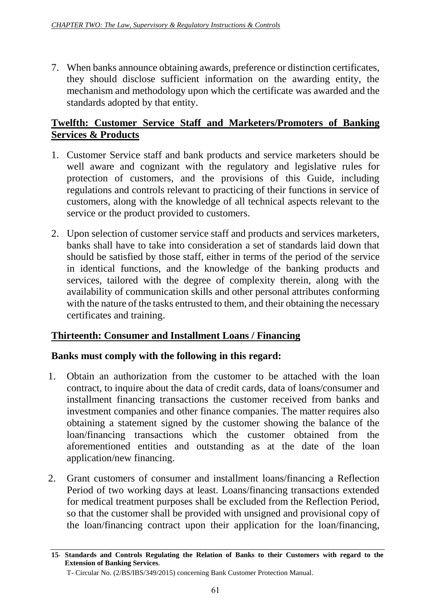7. When banks announce obtaining awards, preference or distinction certificates, they should disclose sufficient information on the awarding entity, the mechanism and methodology upon which the certificate was awarded and the standards adopted by that entity.

## **Twelfth: Customer Service Staff and Marketers/Promoters of Banking Services & Products**

- 1. Customer Service staff and bank products and service marketers should be well aware and cognizant with the regulatory and legislative rules for protection of customers, and the provisions of this Guide, including regulations and controls relevant to practicing of their functions in service of customers, along with the knowledge of all technical aspects relevant to the service or the product provided to customers.
- 2. Upon selection of customer service staff and products and services marketers, banks shall have to take into consideration a set of standards laid down that should be satisfied by those staff, either in terms of the period of the service in identical functions, and the knowledge of the banking products and services, tailored with the degree of complexity therein, along with the availability of communication skills and other personal attributes conforming with the nature of the tasks entrusted to them, and their obtaining the necessary certificates and training.

## **Thirteenth: Consumer and Installment Loans / Financing**

## **Banks must comply with the following in this regard:**

- 1. Obtain an authorization from the customer to be attached with the loan contract, to inquire about the data of credit cards, data of loans/consumer and installment financing transactions the customer received from banks and investment companies and other finance companies. The matter requires also obtaining a statement signed by the customer showing the balance of the loan/financing transactions which the customer obtained from the aforementioned entities and outstanding as at the date of the loan application/new financing.
- 2. Grant customers of consumer and installment loans/financing a Reflection Period of two working days at least. Loans/financing transactions extended for medical treatment purposes shall be excluded from the Reflection Period, so that the customer shall be provided with unsigned and provisional copy of the loan/financing contract upon their application for the loan/financing,

**<sup>15</sup>- Standards and Controls Regulating the Relation of Banks to their Customers with regard to the Extension of Banking Services.**

T- Circular No. (2/BS/IBS/349/2015) concerning Bank Customer Protection Manual.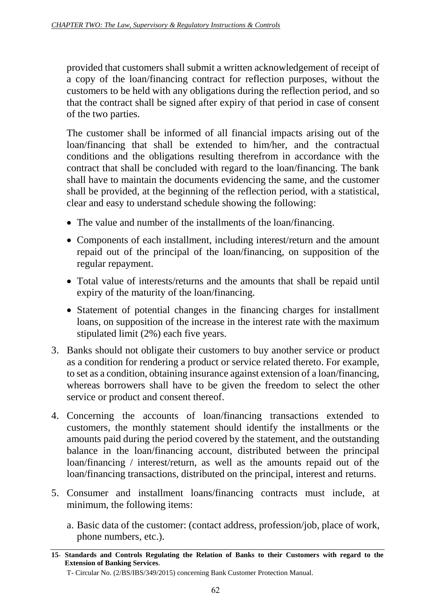provided that customers shall submit a written acknowledgement of receipt of a copy of the loan/financing contract for reflection purposes, without the customers to be held with any obligations during the reflection period, and so that the contract shall be signed after expiry of that period in case of consent of the two parties.

The customer shall be informed of all financial impacts arising out of the loan/financing that shall be extended to him/her, and the contractual conditions and the obligations resulting therefrom in accordance with the contract that shall be concluded with regard to the loan/financing. The bank shall have to maintain the documents evidencing the same, and the customer shall be provided, at the beginning of the reflection period, with a statistical, clear and easy to understand schedule showing the following:

- The value and number of the installments of the loan/financing.
- Components of each installment, including interest/return and the amount repaid out of the principal of the loan/financing, on supposition of the regular repayment.
- Total value of interests/returns and the amounts that shall be repaid until expiry of the maturity of the loan/financing.
- Statement of potential changes in the financing charges for installment loans, on supposition of the increase in the interest rate with the maximum stipulated limit (2%) each five years.
- 3. Banks should not obligate their customers to buy another service or product as a condition for rendering a product or service related thereto. For example, to set as a condition, obtaining insurance against extension of a loan/financing, whereas borrowers shall have to be given the freedom to select the other service or product and consent thereof.
- 4. Concerning the accounts of loan/financing transactions extended to customers, the monthly statement should identify the installments or the amounts paid during the period covered by the statement, and the outstanding balance in the loan/financing account, distributed between the principal loan/financing / interest/return, as well as the amounts repaid out of the loan/financing transactions, distributed on the principal, interest and returns.
- 5. Consumer and installment loans/financing contracts must include, at minimum, the following items:
	- a. Basic data of the customer: (contact address, profession/job, place of work, phone numbers, etc.).

**<sup>15</sup>- Standards and Controls Regulating the Relation of Banks to their Customers with regard to the Extension of Banking Services.**

T- Circular No. (2/BS/IBS/349/2015) concerning Bank Customer Protection Manual.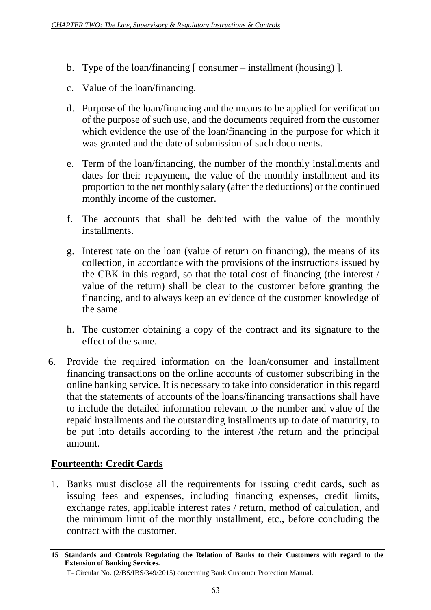- b. Type of the loan/financing [ consumer installment (housing) ].
- c. Value of the loan/financing.
- d. Purpose of the loan/financing and the means to be applied for verification of the purpose of such use, and the documents required from the customer which evidence the use of the loan/financing in the purpose for which it was granted and the date of submission of such documents.
- e. Term of the loan/financing, the number of the monthly installments and dates for their repayment, the value of the monthly installment and its proportion to the net monthly salary (after the deductions) or the continued monthly income of the customer.
- f. The accounts that shall be debited with the value of the monthly installments.
- g. Interest rate on the loan (value of return on financing), the means of its collection, in accordance with the provisions of the instructions issued by the CBK in this regard, so that the total cost of financing (the interest / value of the return) shall be clear to the customer before granting the financing, and to always keep an evidence of the customer knowledge of the same.
- h. The customer obtaining a copy of the contract and its signature to the effect of the same.
- 6. Provide the required information on the loan/consumer and installment financing transactions on the online accounts of customer subscribing in the online banking service. It is necessary to take into consideration in this regard that the statements of accounts of the loans/financing transactions shall have to include the detailed information relevant to the number and value of the repaid installments and the outstanding installments up to date of maturity, to be put into details according to the interest /the return and the principal amount.

## **Fourteenth: Credit Cards**

1. Banks must disclose all the requirements for issuing credit cards, such as issuing fees and expenses, including financing expenses, credit limits, exchange rates, applicable interest rates / return, method of calculation, and the minimum limit of the monthly installment, etc., before concluding the contract with the customer.

**<sup>15</sup>- Standards and Controls Regulating the Relation of Banks to their Customers with regard to the Extension of Banking Services.**

T- Circular No. (2/BS/IBS/349/2015) concerning Bank Customer Protection Manual.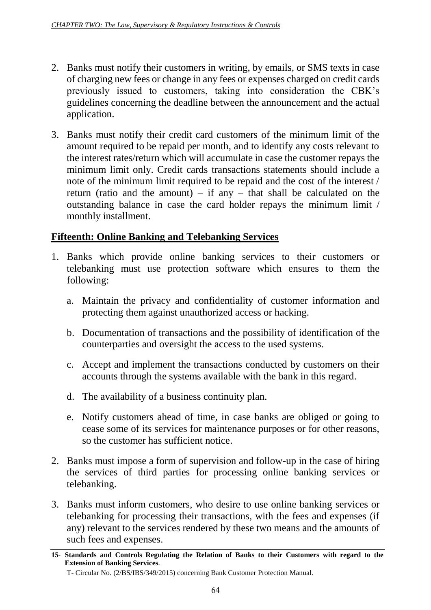- 2. Banks must notify their customers in writing, by emails, or SMS texts in case of charging new fees or change in any fees or expenses charged on credit cards previously issued to customers, taking into consideration the CBK's guidelines concerning the deadline between the announcement and the actual application.
- 3. Banks must notify their credit card customers of the minimum limit of the amount required to be repaid per month, and to identify any costs relevant to the interest rates/return which will accumulate in case the customer repays the minimum limit only. Credit cards transactions statements should include a note of the minimum limit required to be repaid and the cost of the interest / return (ratio and the amount) – if any – that shall be calculated on the outstanding balance in case the card holder repays the minimum limit / monthly installment.

## **Fifteenth: Online Banking and Telebanking Services**

- 1. Banks which provide online banking services to their customers or telebanking must use protection software which ensures to them the following:
	- a. Maintain the privacy and confidentiality of customer information and protecting them against unauthorized access or hacking.
	- b. Documentation of transactions and the possibility of identification of the counterparties and oversight the access to the used systems.
	- c. Accept and implement the transactions conducted by customers on their accounts through the systems available with the bank in this regard.
	- d. The availability of a business continuity plan.
	- e. Notify customers ahead of time, in case banks are obliged or going to cease some of its services for maintenance purposes or for other reasons, so the customer has sufficient notice.
- 2. Banks must impose a form of supervision and follow-up in the case of hiring the services of third parties for processing online banking services or telebanking.
- 3. Banks must inform customers, who desire to use online banking services or telebanking for processing their transactions, with the fees and expenses (if any) relevant to the services rendered by these two means and the amounts of such fees and expenses.

**<sup>15</sup>- Standards and Controls Regulating the Relation of Banks to their Customers with regard to the Extension of Banking Services.**

T- Circular No. (2/BS/IBS/349/2015) concerning Bank Customer Protection Manual.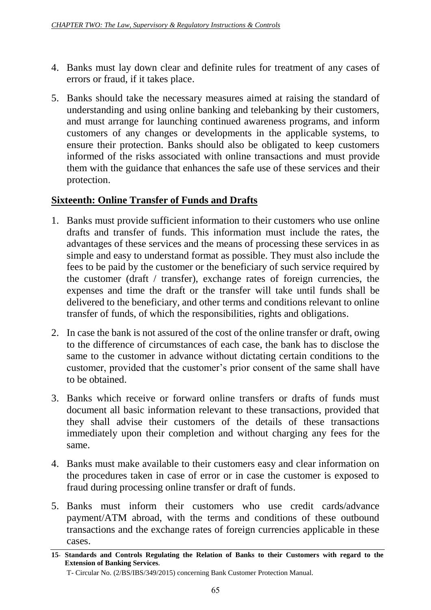- 4. Banks must lay down clear and definite rules for treatment of any cases of errors or fraud, if it takes place.
- 5. Banks should take the necessary measures aimed at raising the standard of understanding and using online banking and telebanking by their customers, and must arrange for launching continued awareness programs, and inform customers of any changes or developments in the applicable systems, to ensure their protection. Banks should also be obligated to keep customers informed of the risks associated with online transactions and must provide them with the guidance that enhances the safe use of these services and their protection.

# **Sixteenth: Online Transfer of Funds and Drafts**

- 1. Banks must provide sufficient information to their customers who use online drafts and transfer of funds. This information must include the rates, the advantages of these services and the means of processing these services in as simple and easy to understand format as possible. They must also include the fees to be paid by the customer or the beneficiary of such service required by the customer (draft / transfer), exchange rates of foreign currencies, the expenses and time the draft or the transfer will take until funds shall be delivered to the beneficiary, and other terms and conditions relevant to online transfer of funds, of which the responsibilities, rights and obligations.
- 2. In case the bank is not assured of the cost of the online transfer or draft, owing to the difference of circumstances of each case, the bank has to disclose the same to the customer in advance without dictating certain conditions to the customer, provided that the customer's prior consent of the same shall have to be obtained.
- 3. Banks which receive or forward online transfers or drafts of funds must document all basic information relevant to these transactions, provided that they shall advise their customers of the details of these transactions immediately upon their completion and without charging any fees for the same.
- 4. Banks must make available to their customers easy and clear information on the procedures taken in case of error or in case the customer is exposed to fraud during processing online transfer or draft of funds.
- 5. Banks must inform their customers who use credit cards/advance payment/ATM abroad, with the terms and conditions of these outbound transactions and the exchange rates of foreign currencies applicable in these cases.

**<sup>15</sup>- Standards and Controls Regulating the Relation of Banks to their Customers with regard to the Extension of Banking Services.**

T- Circular No. (2/BS/IBS/349/2015) concerning Bank Customer Protection Manual.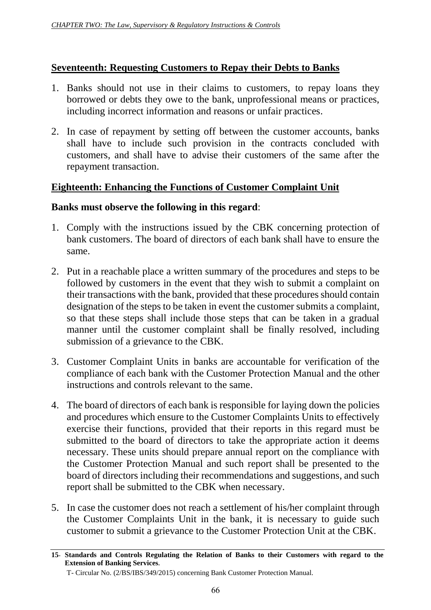### **Seventeenth: Requesting Customers to Repay their Debts to Banks**

- 1. Banks should not use in their claims to customers, to repay loans they borrowed or debts they owe to the bank, unprofessional means or practices, including incorrect information and reasons or unfair practices.
- 2. In case of repayment by setting off between the customer accounts, banks shall have to include such provision in the contracts concluded with customers, and shall have to advise their customers of the same after the repayment transaction.

### **Eighteenth: Enhancing the Functions of Customer Complaint Unit**

#### **Banks must observe the following in this regard**:

- 1. Comply with the instructions issued by the CBK concerning protection of bank customers. The board of directors of each bank shall have to ensure the same.
- 2. Put in a reachable place a written summary of the procedures and steps to be followed by customers in the event that they wish to submit a complaint on their transactions with the bank, provided that these procedures should contain designation of the steps to be taken in event the customer submits a complaint, so that these steps shall include those steps that can be taken in a gradual manner until the customer complaint shall be finally resolved, including submission of a grievance to the CBK.
- 3. Customer Complaint Units in banks are accountable for verification of the compliance of each bank with the Customer Protection Manual and the other instructions and controls relevant to the same.
- 4. The board of directors of each bank is responsible for laying down the policies and procedures which ensure to the Customer Complaints Units to effectively exercise their functions, provided that their reports in this regard must be submitted to the board of directors to take the appropriate action it deems necessary. These units should prepare annual report on the compliance with the Customer Protection Manual and such report shall be presented to the board of directors including their recommendations and suggestions, and such report shall be submitted to the CBK when necessary.
- 5. In case the customer does not reach a settlement of his/her complaint through the Customer Complaints Unit in the bank, it is necessary to guide such customer to submit a grievance to the Customer Protection Unit at the CBK.

**<sup>15</sup>- Standards and Controls Regulating the Relation of Banks to their Customers with regard to the Extension of Banking Services.**

T- Circular No. (2/BS/IBS/349/2015) concerning Bank Customer Protection Manual.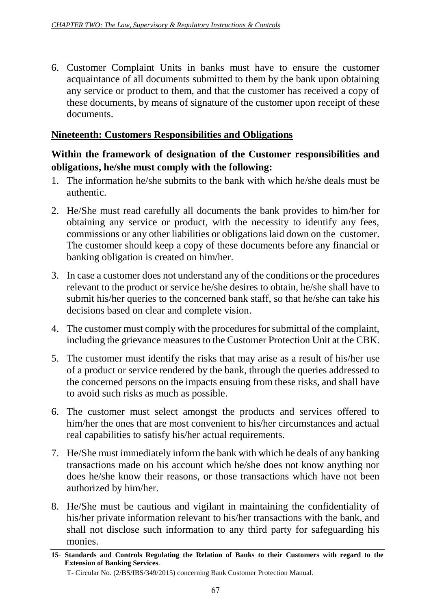6. Customer Complaint Units in banks must have to ensure the customer acquaintance of all documents submitted to them by the bank upon obtaining any service or product to them, and that the customer has received a copy of these documents, by means of signature of the customer upon receipt of these documents.

### **Nineteenth: Customers Responsibilities and Obligations**

## **Within the framework of designation of the Customer responsibilities and obligations, he/she must comply with the following:**

- 1. The information he/she submits to the bank with which he/she deals must be authentic.
- 2. He/She must read carefully all documents the bank provides to him/her for obtaining any service or product, with the necessity to identify any fees, commissions or any other liabilities or obligations laid down on the customer. The customer should keep a copy of these documents before any financial or banking obligation is created on him/her.
- 3. In case a customer does not understand any of the conditions or the procedures relevant to the product or service he/she desires to obtain, he/she shall have to submit his/her queries to the concerned bank staff, so that he/she can take his decisions based on clear and complete vision.
- 4. The customer must comply with the procedures for submittal of the complaint, including the grievance measures to the Customer Protection Unit at the CBK.
- 5. The customer must identify the risks that may arise as a result of his/her use of a product or service rendered by the bank, through the queries addressed to the concerned persons on the impacts ensuing from these risks, and shall have to avoid such risks as much as possible.
- 6. The customer must select amongst the products and services offered to him/her the ones that are most convenient to his/her circumstances and actual real capabilities to satisfy his/her actual requirements.
- 7. He/She must immediately inform the bank with which he deals of any banking transactions made on his account which he/she does not know anything nor does he/she know their reasons, or those transactions which have not been authorized by him/her.
- 8. He/She must be cautious and vigilant in maintaining the confidentiality of his/her private information relevant to his/her transactions with the bank, and shall not disclose such information to any third party for safeguarding his monies.

**<sup>15</sup>- Standards and Controls Regulating the Relation of Banks to their Customers with regard to the Extension of Banking Services.**

T- Circular No. (2/BS/IBS/349/2015) concerning Bank Customer Protection Manual.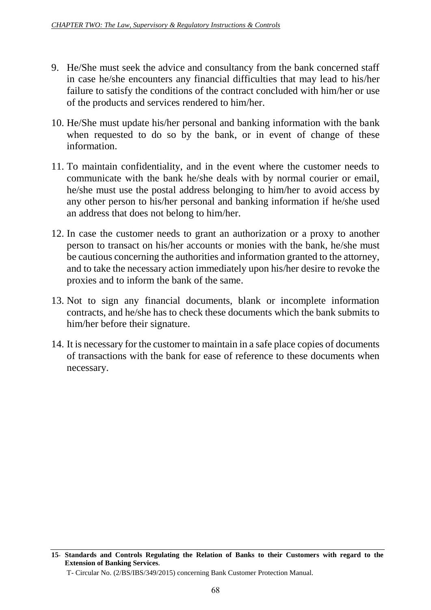- 9. He/She must seek the advice and consultancy from the bank concerned staff in case he/she encounters any financial difficulties that may lead to his/her failure to satisfy the conditions of the contract concluded with him/her or use of the products and services rendered to him/her.
- 10. He/She must update his/her personal and banking information with the bank when requested to do so by the bank, or in event of change of these information.
- 11. To maintain confidentiality, and in the event where the customer needs to communicate with the bank he/she deals with by normal courier or email, he/she must use the postal address belonging to him/her to avoid access by any other person to his/her personal and banking information if he/she used an address that does not belong to him/her.
- 12. In case the customer needs to grant an authorization or a proxy to another person to transact on his/her accounts or monies with the bank, he/she must be cautious concerning the authorities and information granted to the attorney, and to take the necessary action immediately upon his/her desire to revoke the proxies and to inform the bank of the same.
- 13. Not to sign any financial documents, blank or incomplete information contracts, and he/she has to check these documents which the bank submits to him/her before their signature.
- 14. It is necessary for the customer to maintain in a safe place copies of documents of transactions with the bank for ease of reference to these documents when necessary.

**<sup>15</sup>- Standards and Controls Regulating the Relation of Banks to their Customers with regard to the Extension of Banking Services.**

T- Circular No. (2/BS/IBS/349/2015) concerning Bank Customer Protection Manual.